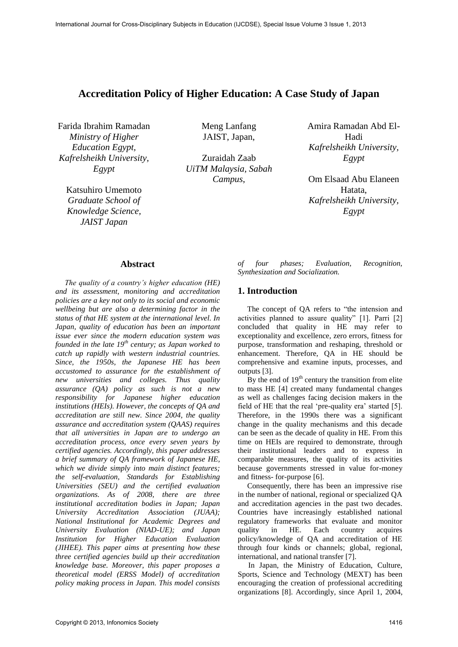# **Accreditation Policy of Higher Education: A Case Study of Japan**

Farida Ibrahim Ramadan *Ministry of Higher Education Egypt, Kafrelsheikh University, Egypt* 

Katsuhiro Umemoto *Graduate School of Knowledge Science, JAIST Japan* 

Meng Lanfang JAIST, Japan,

Zuraidah Zaab *UiTM Malaysia, Sabah Campus*,

Amira Ramadan Abd El-Hadi *Kafrelsheikh University, Egypt* 

Om Elsaad Abu Elaneen Hatata. *Kafrelsheikh University, Egypt*

### **Abstract**

*The quality of a country's higher education (HE) and its assessment, monitoring and accreditation policies are a key not only to its social and economic wellbeing but are also a determining factor in the status of that HE system at the international level. In Japan, quality of education has been an important issue ever since the modern education system was founded in the late 19th century; as Japan worked to catch up rapidly with western industrial countries. Since, the 1950s, the Japanese HE has been accustomed to assurance for the establishment of new universities and colleges. Thus quality assurance (QA) policy as such is not a new responsibility for Japanese higher education institutions (HEIs). However, the concepts of QA and accreditation are still new. Since 2004, the quality assurance and accreditation system (QAAS) requires that all universities in Japan are to undergo an accreditation process, once every seven years by certified agencies. Accordingly, this paper addresses a brief summary of QA framework of Japanese HE, which we divide simply into main distinct features; the self-evaluation, Standards for Establishing Universities (SEU) and the certified evaluation organizations. As of 2008, there are three institutional accreditation bodies in Japan; Japan University Accreditation Association (JUAA); National Institutional for Academic Degrees and University Evaluation (NIAD-UE); and Japan Institution for Higher Education Evaluation (JIHEE). This paper aims at presenting how these three certified agencies build up their accreditation knowledge base. Moreover, this paper proposes a theoretical model (ERSS Model) of accreditation policy making process in Japan. This model consists* 

*of four phases; Evaluation, Recognition, Synthesization and Socialization.* 

# **1. Introduction**

The concept of QA refers to "the intension and activities planned to assure quality" [1]. Parri [2] concluded that quality in HE may refer to exceptionality and excellence, zero errors, fitness for purpose, transformation and reshaping, threshold or enhancement. Therefore, QA in HE should be comprehensive and examine inputs, processes, and outputs [3].

By the end of  $19<sup>th</sup>$  century the transition from elite to mass HE [4] created many fundamental changes as well as challenges facing decision makers in the field of HE that the real 'pre-quality era' started [5]. Therefore, in the 1990s there was a significant change in the quality mechanisms and this decade can be seen as the decade of quality in HE. From this time on HEIs are required to demonstrate, through their institutional leaders and to express in comparable measures, the quality of its activities because governments stressed in value for-money and fitness- for-purpose [6].

Consequently, there has been an impressive rise in the number of national, regional or specialized QA and accreditation agencies in the past two decades. Countries have increasingly established national regulatory frameworks that evaluate and monitor quality in HE. Each country acquires policy/knowledge of QA and accreditation of HE through four kinds or channels; global, regional, international, and national transfer [7].

In Japan, the Ministry of Education, Culture, Sports, Science and Technology (MEXT) has been encouraging the creation of professional accrediting organizations [8]. Accordingly, since April 1, 2004,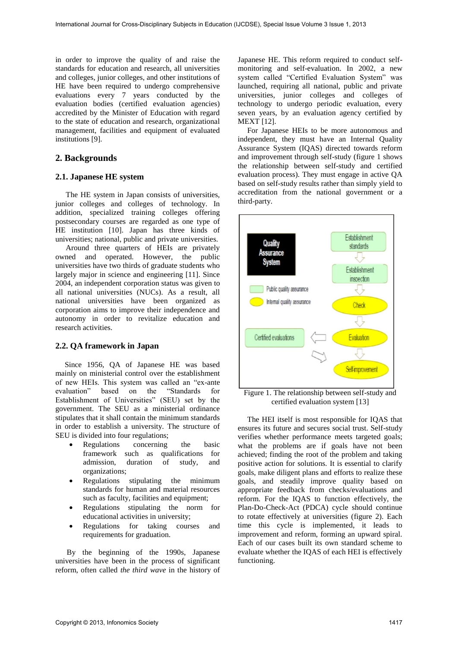in order to improve the quality of and raise the standards for education and research, all universities and colleges, junior colleges, and other institutions of HE have been required to undergo comprehensive evaluations every 7 years conducted by the evaluation bodies (certified evaluation agencies) accredited by the Minister of Education with regard to the state of education and research, organizational management, facilities and equipment of evaluated institutions [9].

# **2. Backgrounds**

### **2.1. Japanese HE system**

The HE system in Japan consists of universities, junior colleges and colleges of technology. In addition, specialized training colleges offering postsecondary courses are regarded as one type of HE institution [10]. Japan has three kinds of universities; national, public and private universities.

Around three quarters of HEIs are privately owned and operated. However, the public universities have two thirds of graduate students who largely major in science and engineering [11]. Since 2004, an independent corporation status was given to all national universities (NUCs). As a result, all national universities have been organized as corporation aims to improve their independence and autonomy in order to revitalize education and research activities.

### **2.2. QA framework in Japan**

Since 1956, QA of Japanese HE was based mainly on ministerial control over the establishment of new HEIs. This system was called an "ex-ante evaluation" based on the Establishment of Universities" (SEU) set by the government. The SEU as a ministerial ordinance stipulates that it shall contain the minimum standards in order to establish a university. The structure of SEU is divided into four regulations;

- Regulations concerning the basic framework such as qualifications for<br>admission, duration of study, and admission, duration of study, and organizations;
- Regulations stipulating the minimum standards for human and material resources such as faculty, facilities and equipment;
- Regulations stipulating the norm for educational activities in university;
- Regulations for taking courses and requirements for graduation.

 By the beginning of the 1990s, Japanese universities have been in the process of significant reform, often called *the third wave* in the history of

Japanese HE. This reform required to conduct selfmonitoring and self-evaluation. In 2002, a new system called "Certified Evaluation System" was launched, requiring all national, public and private universities, junior colleges and colleges of technology to undergo periodic evaluation, every seven years, by an evaluation agency certified by MEXT [12].

For Japanese HEIs to be more autonomous and independent, they must have an Internal Quality Assurance System (IQAS) directed towards reform and improvement through self-study (figure 1 shows the relationship between self-study and certified evaluation process). They must engage in active QA based on self-study results rather than simply yield to accreditation from the national government or a third-party.



Figure 1. The relationship between self-study and certified evaluation system [13]

The HEI itself is most responsible for IQAS that ensures its future and secures social trust. Self-study verifies whether performance meets targeted goals; what the problems are if goals have not been achieved; finding the root of the problem and taking positive action for solutions. It is essential to clarify goals, make diligent plans and efforts to realize these goals, and steadily improve quality based on appropriate feedback from checks/evaluations and reform. For the IQAS to function effectively, the Plan-Do-Check-Act (PDCA) cycle should continue to rotate effectively at universities (figure 2). Each time this cycle is implemented, it leads to improvement and reform, forming an upward spiral. Each of our cases built its own standard scheme to evaluate whether the IQAS of each HEI is effectively functioning.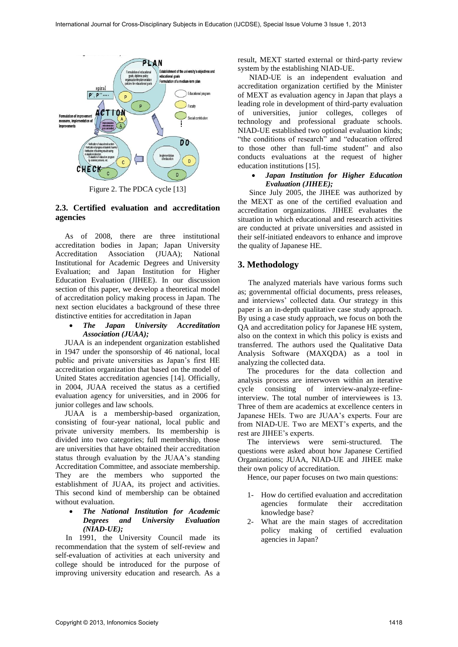

Figure 2. The PDCA cycle [13]

## **2.3. Certified evaluation and accreditation agencies**

As of 2008, there are three institutional accreditation bodies in Japan; Japan University Accreditation Association (JUAA); National Institutional for Academic Degrees and University Evaluation; and Japan Institution for Higher Education Evaluation (JIHEE). In our discussion section of this paper, we develop a theoretical model of accreditation policy making process in Japan. The next section elucidates a background of these three distinctive entities for accreditation in Japan

### *The Japan University Accreditation Association (JUAA);*

JUAA is an independent organization established in 1947 under the sponsorship of 46 national, local public and private universities as Japan's first HE accreditation organization that based on the model of United States accreditation agencies [14]. Officially, in 2004, JUAA received the status as a certified evaluation agency for universities, and in 2006 for junior colleges and law schools*.*

JUAA is a membership-based organization, consisting of four-year national, local public and private university members. Its membership is divided into two categories; full membership, those are universities that have obtained their accreditation status through evaluation by the JUAA's standing Accreditation Committee, and associate membership. They are the members who supported the establishment of JUAA, its project and activities. This second kind of membership can be obtained without evaluation.

### *The National Institution for Academic Degrees and University Evaluation (NIAD-UE);*

In 1991, the University Council made its recommendation that the system of self-review and self-evaluation of activities at each university and college should be introduced for the purpose of improving university education and research. As a result, MEXT started external or third-party review system by the establishing NIAD-UE.

 NIAD-UE is an independent evaluation and accreditation organization certified by the Minister of MEXT as evaluation agency in Japan that plays a leading role in development of third-party evaluation of universities, junior colleges, colleges of technology and professional graduate schools. NIAD-UE established two optional evaluation kinds; "the conditions of research" and "education offered to those other than full-time student" and also conducts evaluations at the request of higher education institutions [15].

### *Japan Institution for Higher Education Evaluation (JIHEE);*

Since July 2005, the JIHEE was authorized by the MEXT as one of the certified evaluation and accreditation organizations. JIHEE evaluates the situation in which educational and research activities are conducted at private universities and assisted in their self-initiated endeavors to enhance and improve the quality of Japanese HE.

# **3. Methodology**

The analyzed materials have various forms such as; governmental official documents, press releases, and interviews' collected data. Our strategy in this paper is an in-depth qualitative case study approach. By using a case study approach, we focus on both the QA and accreditation policy for Japanese HE system, also on the context in which this policy is exists and transferred. The authors used the Qualitative Data Analysis Software (MAXQDA) as a tool in analyzing the collected data.

The procedures for the data collection and analysis process are interwoven within an iterative cycle consisting of interview-analyze-refineinterview. The total number of interviewees is 13. Three of them are academics at excellence centers in Japanese HEIs. Two are JUAA's experts. Four are from NIAD-UE. Two are MEXT's experts, and the rest are JIHEE's experts.

The interviews were semi-structured. The questions were asked about how Japanese Certified Organizations; JUAA, NIAD-UE and JIHEE make their own policy of accreditation.

Hence, our paper focuses on two main questions:

- 1- How do certified evaluation and accreditation agencies formulate their accreditation knowledge base?
- 2- What are the main stages of accreditation policy making of certified evaluation agencies in Japan?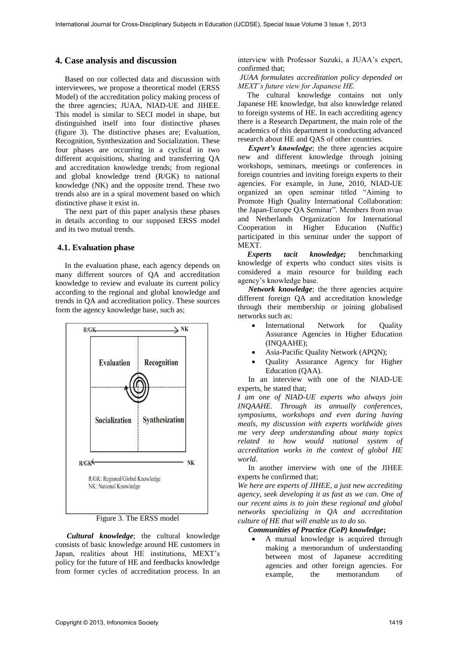## **4. Case analysis and discussion**

Based on our collected data and discussion with interviewees, we propose a theoretical model (ERSS Model) of the accreditation policy making process of the three agencies; JUAA, NIAD-UE and JIHEE. This model is similar to SECI model in shape, but distinguished itself into four distinctive phases (figure 3). The distinctive phases are; Evaluation, Recognition, Synthesization and Socialization. These four phases are occurring in a cyclical in two different acquisitions, sharing and transferring QA and accreditation knowledge trends; from regional and global knowledge trend (R/GK) to national knowledge (NK) and the opposite trend. These two trends also are in a spiral movement based on which distinctive phase it exist in.

The next part of this paper analysis these phases in details according to our supposed ERSS model and its two mutual trends.

## **4.1. Evaluation phase**

In the evaluation phase, each agency depends on many different sources of QA and accreditation knowledge to review and evaluate its current policy according to the regional and global knowledge and trends in QA and accreditation policy. These sources form the agency knowledge base, such as;



Figure 3. The ERSS model

*Cultural knowledge*; the cultural knowledge consists of basic knowledge around HE customers in Japan, realities about HE institutions, MEXT's policy for the future of HE and feedbacks knowledge from former cycles of accreditation process. In an

interview with Professor Suzuki, a JUAA's expert, confirmed that;

*JUAA formulates accreditation policy depended on MEXT's future view for Japanese HE.*

The cultural knowledge contains not only Japanese HE knowledge, but also knowledge related to foreign systems of HE. In each accrediting agency there is a Research Department, the main role of the academics of this department is conducting advanced research about HE and QAS of other countries.

*Expert's knowledge*; the three agencies acquire new and different knowledge through joining workshops, seminars, meetings or conferences in foreign countries and inviting foreign experts to their agencies. For example, in June, 2010, NIAD-UE organized an open seminar titled "Aiming to Promote High Quality International Collaboration: the Japan-Europe QA Seminar". Members from nvao and Netherlands Organization for International Cooperation in Higher Education (Nuffic) participated in this seminar under the support of MEXT.

*Experts tacit knowledge;* benchmarking knowledge of experts who conduct sites visits is considered a main resource for building each agency's knowledge base.

*Network knowledge*; the three agencies acquire different foreign QA and accreditation knowledge through their membership or joining globalised networks such as:

- International Network for Quality Assurance Agencies in Higher Education (INQAAHE);
- Asia-Pacific Quality Network (APQN);
- Quality Assurance Agency for Higher Education (QAA).

In an interview with one of the NIAD-UE experts, he stated that;

*I am one of NIAD-UE experts who always join INQAAHE. Through its annually conferences, symposiums, workshops and even during having meals, my discussion with experts worldwide gives me very deep understanding about many topics related to how would national system of accreditation works in the context of global HE world*.

In another interview with one of the JIHEE experts he confirmed that;

*We here are experts of JIHEE, a just new accrediting agency, seek developing it as fast as we can. One of our recent aims is to join these regional and global networks specializing in QA and accreditation culture of HE that will enable us to do so.* 

# *Communities of Practice (CoP) knowledge***;**

 A mutual knowledge is acquired through making a memorandum of understanding between most of Japanese accrediting agencies and other foreign agencies. For example, the memorandum of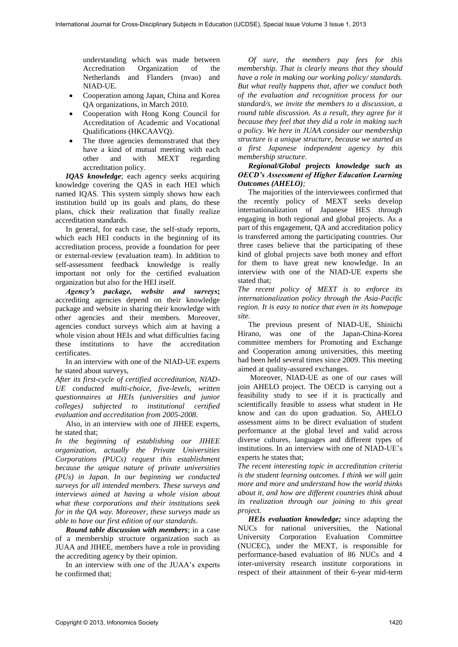understanding which was made between Accreditation Organization of the Netherlands and Flanders (nvao) and NIAD-UE.

- Cooperation among Japan, China and Korea QA organizations, in March 2010.
- Cooperation with Hong Kong Council for Accreditation of Academic and Vocational Qualifications (HKCAAVQ).
- The three agencies demonstrated that they have a kind of mutual meeting with each other and with MEXT regarding accreditation policy.

*IQAS knowledge*; each agency seeks acquiring knowledge covering the QAS in each HEI which named IQAS. This system simply shows how each institution build up its goals and plans, do these plans, chick their realization that finally realize accreditation standards.

In general, for each case, the self-study reports, which each HEI conducts in the beginning of its accreditation process, provide a foundation for peer or external-review (evaluation team). In addition to self-assessment feedback knowledge is really important not only for the certified evaluation organization but also for the HEI itself.

*Agency's package, website and surveys***;** accrediting agencies depend on their knowledge package and website in sharing their knowledge with other agencies and their members. Moreover, agencies conduct surveys which aim at having a whole vision about HEIs and what difficulties facing these institutions to have the accreditation certificates.

In an interview with one of the NIAD-UE experts he stated about surveys,

*After its first-cycle of certified accreditation, NIAD-UE conducted multi-choice, five-levels, written questionnaires at HEIs (universities and junior colleges) subjected to institutional certified evaluation and accreditation from 2005-2008*.

Also, in an interview with one of JIHEE experts, he stated that;

*In the beginning of establishing our JIHEE organization, actually the Private Universities Corporations (PUCs) request this establishment because the unique nature of private universities (PUs) in Japan. In our beginning we conducted surveys for all intended members. These surveys and interviews aimed at having a whole vision about what these corporations and their institutions seek for in the QA way. Moreover, these surveys made us able to have our first edition of our standards*.

*Round table discussion with members*; in a case of a membership structure organization such as JUAA and JIHEE, members have a role in providing the accrediting agency by their opinion.

In an interview with one of the JUAA's experts he confirmed that;

*Of sure, the members pay fees for this membership. That is clearly means that they should have a role in making our working policy/ standards. But what really happens that, after we conduct both of the evaluation and recognition process for our standard/s, we invite the members to a discussion, a round table discussion. As a result, they agree for it because they feel that they did a role in making such a policy. We here in JUAA consider our membership structure is a unique structure, because we started as a first Japanese independent agency by this membership structure*.

*Regional/Global projects knowledge such as OECD's Assessment of Higher Education Learning Outcomes (AHELO);*

The majorities of the interviewees confirmed that the recently policy of MEXT seeks develop internationalization of Japanese HES through engaging in both regional and global projects. As a part of this engagement, QA and accreditation policy is transferred among the participating countries. Our three cases believe that the participating of these kind of global projects save both money and effort for them to have great new knowledge. In an interview with one of the NIAD-UE experts she stated that;

*The recent policy of MEXT is to enforce its internationalization policy through the Asia-Pacific region. It is easy to notice that even in its homepage site.* 

The previous present of NIAD-UE, Shinichi Hirano, was one of the Japan-China-Korea committee members for Promoting and Exchange and Cooperation among universities, this meeting had been held several times since 2009. This meeting aimed at quality-assured exchanges.

 Moreover, NIAD-UE as one of our cases will join AHELO project. The OECD is carrying out a feasibility study to see if it is practically and scientifically feasible to assess what student in He know and can do upon graduation. So, AHELO assessment aims to be direct evaluation of student performance at the global level and valid across diverse cultures, languages and different types of institutions. In an interview with one of NIAD-UE's experts he states that;

*The recent interesting topic in accreditation criteria is the student learning outcomes. I think we will gain more and more and understand how the world thinks about it, and how are different countries think about its realization through our joining to this great project.*

*HEIs evaluation knowledge;* since adapting the NUCs for national universities, the National University Corporation Evaluation Committee (NUCEC), under the MEXT, is responsible for performance-based evaluation of 86 NUCs and 4 inter-university research institute corporations in respect of their attainment of their 6-year mid-term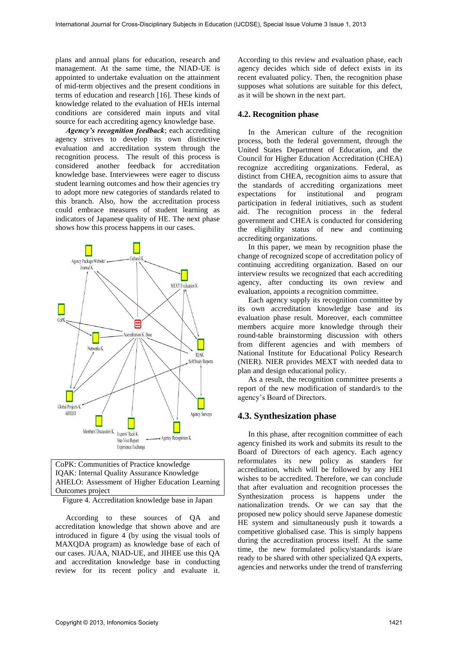plans and annual plans for education, research and management. At the same time, the NIAD-UE is appointed to undertake evaluation on the attainment of mid-term objectives and the present conditions in terms of education and research [16]. These kinds of knowledge related to the evaluation of HEIs internal conditions are considered main inputs and vital source for each accrediting agency knowledge base.

*Agency's recognition feedback*; each accrediting agency strives to develop its own distinctive evaluation and accreditation system through the recognition process. The result of this process is considered another feedback for accreditation knowledge base. Interviewees were eager to discuss student learning outcomes and how their agencies try to adopt more new categories of standards related to this branch. Also, how the accreditation process could embrace measures of student learning as indicators of Japanese quality of HE. The next phase shows how this process happens in our cases.



| CoPK: Communities of Practice knowledge           |
|---------------------------------------------------|
| <b>IQAK: Internal Quality Assurance Knowledge</b> |
| AHELO: Assessment of Higher Education Learning    |
| Outcomes project                                  |

Figure 4. Accreditation knowledge base in Japan

According to these sources of QA and accreditation knowledge that shown above and are introduced in figure 4 (by using the visual tools of MAXQDA program) as knowledge base of each of our cases. JUAA, NIAD-UE, and JIHEE use this QA and accreditation knowledge base in conducting review for its recent policy and evaluate it.

According to this review and evaluation phase, each agency decides which side of defect exists in its recent evaluated policy. Then, the recognition phase supposes what solutions are suitable for this defect, as it will be shown in the next part.

### **4.2. Recognition phase**

In the American culture of the recognition process, both the federal government, through the United States Department of Education, and the Council for Higher Education Accreditation (CHEA) recognize accrediting organizations. Federal, as distinct from CHEA, recognition aims to assure that the standards of accrediting organizations meet expectations for institutional and program participation in federal initiatives, such as student aid. The recognition process in the federal government and CHEA is conducted for considering the eligibility status of new and continuing accrediting organizations.

In this paper, we mean by recognition phase the change of recognized scope of accreditation policy of continuing accrediting organization. Based on our interview results we recognized that each accrediting agency, after conducting its own review and evaluation, appoints a recognition committee.

Each agency supply its recognition committee by its own accreditation knowledge base and its evaluation phase result. Moreover, each committee members acquire more knowledge through their round-table brainstorming discussion with others from different agencies and with members of National Institute for Educational Policy Research (NIER). NIER provides MEXT with needed data to plan and design educational policy.

As a result, the recognition committee presents a report of the new modification of standard/s to the agency's Board of Directors.

#### **4.3. Synthesization phase**

In this phase, after recognition committee of each agency finished its work and submits its result to the Board of Directors of each agency. Each agency reformulates its new policy as standers for accreditation, which will be followed by any HEI wishes to be accredited. Therefore, we can conclude that after evaluation and recognition processes the Synthesization process is happens under the nationalization trends. Or we can say that the proposed new policy should serve Japanese domestic HE system and simultaneously push it towards a competitive globalised case. This is simply happens during the accreditation process itself. At the same time, the new formulated policy/standards is/are ready to be shared with other specialized QA experts, agencies and networks under the trend of transferring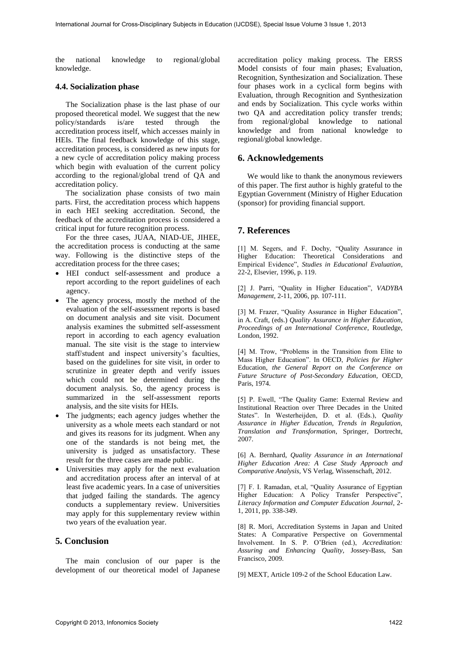the national knowledge to regional/global knowledge.

#### **4.4. Socialization phase**

The Socialization phase is the last phase of our proposed theoretical model. We suggest that the new policy/standards is/are tested through the accreditation process itself, which accesses mainly in HEIs. The final feedback knowledge of this stage, accreditation process, is considered as new inputs for a new cycle of accreditation policy making process which begin with evaluation of the current policy according to the regional/global trend of QA and accreditation policy.

The socialization phase consists of two main parts. First, the accreditation process which happens in each HEI seeking accreditation. Second, the feedback of the accreditation process is considered a critical input for future recognition process.

For the three cases, JUAA, NIAD-UE, JIHEE, the accreditation process is conducting at the same way. Following is the distinctive steps of the accreditation process for the three cases;

- HEI conduct self-assessment and produce a report according to the report guidelines of each agency.
- The agency process, mostly the method of the evaluation of the self-assessment reports is based on document analysis and site visit. Document analysis examines the submitted self-assessment report in according to each agency evaluation manual. The site visit is the stage to interview staff/student and inspect university's faculties, based on the guidelines for site visit, in order to scrutinize in greater depth and verify issues which could not be determined during the document analysis. So, the agency process is summarized in the self-assessment reports analysis, and the site visits for HEIs.
- The judgments; each agency judges whether the university as a whole meets each standard or not and gives its reasons for its judgment. When any one of the standards is not being met, the university is judged as unsatisfactory. These result for the three cases are made public.
- Universities may apply for the next evaluation and accreditation process after an interval of at least five academic years. In a case of universities that judged failing the standards. The agency conducts a supplementary review. Universities may apply for this supplementary review within two years of the evaluation year.

### **5. Conclusion**

The main conclusion of our paper is the development of our theoretical model of Japanese

accreditation policy making process. The ERSS Model consists of four main phases; Evaluation, Recognition, Synthesization and Socialization. These four phases work in a cyclical form begins with Evaluation, through Recognition and Synthesization and ends by Socialization. This cycle works within two QA and accreditation policy transfer trends; from regional/global knowledge to national knowledge and from national knowledge to regional/global knowledge.

# **6. Acknowledgements**

We would like to thank the anonymous reviewers of this paper. The first author is highly grateful to the Egyptian Government (Ministry of Higher Education (sponsor) for providing financial support.

### **7. References**

[1] M. Segers, and F. Dochy, "Quality Assurance in Higher Education: Theoretical Considerations and Empirical Evidence", *Studies in Educational Evaluation*, 22-2, Elsevier, 1996, p. 119.

[2] J. Parri, "Quality in Higher Education", *VADYBA Management,* 2-11, 2006, pp. 107-111.

[3] M. Frazer, "Quality Assurance in Higher Education", in A. Craft, (eds.) *Quality Assurance in Higher Education, Proceedings of an International Conference*, Routledge, London, 1992.

[4] M. Trow, "Problems in the Transition from Elite to Mass Higher Education". In OECD, *Policies for Higher* Education, *the General Report on the Conference on Future Structure of Post-Secondary Education*, OECD, Paris, 1974.

[5] P. Ewell, "The Quality Game: External Review and Institutional Reaction over Three Decades in the United States". In Westerheijden, D. et al. (Eds.), *Quality Assurance in Higher Education, Trends in Regulation, Translation and Transformation*, Springer, Dortrecht, 2007.

[6] A. Bernhard, *Quality Assurance in an International Higher Education Area: A Case Study Approach and Comparative Analysis,* VS Verlag, Wissenschaft, 2012.

[7] F. I. Ramadan, et.al, "Quality Assurance of Egyptian Higher Education: A Policy Transfer Perspective", *Literacy Information and Computer Education Journal*, 2- 1, 2011, pp. 338-349.

[8] R. Mori, Accreditation Systems in Japan and United States: A Comparative Perspective on Governmental Involvement. In S. P. O'Brien (ed.), *Accreditation: Assuring and Enhancing Quality*, Jossey-Bass, San Francisco, 2009.

[9] MEXT, Article 109-2 of the School Education Law.